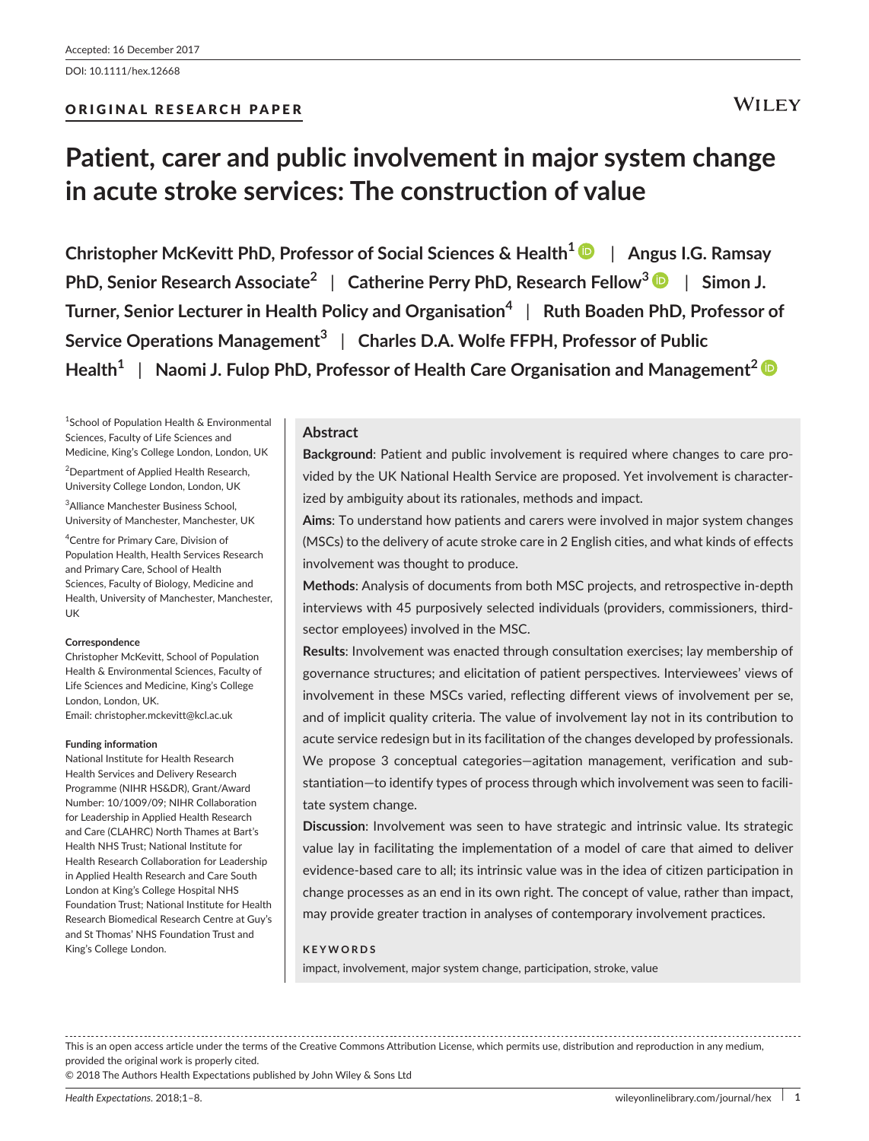DOI: 10.1111/hex.12668

## **Patient, carer and public involvement in major system change in acute stroke services: The construction of value**

**Christopher McKevitt PhD, Professor of Social Sciences & Health[1](http://orcid.org/0000-0002-5290-4613)** | **Angus I.G. Ramsay PhD, Senior Research Associate<sup>2</sup>** | **Catherine Perry PhD, Research Fellow<sup>3</sup>** | **Simon J. Turner, Senior Lecturer in Health Policy and Organisation<sup>4</sup>** | **Ruth Boaden PhD, Professor of Service Operations Management<sup>3</sup>** | **Charles D.A. Wolfe FFPH, Professor of Public Health<sup>1</sup>** | **Naomi J. Fulop PhD, Professor of Health Care Organisation and Management[2](http://orcid.org/0000-0001-5306-6140)**

1 School of Population Health & Environmental Sciences, Faculty of Life Sciences and Medicine, King's College London, London, UK

<sup>2</sup>Department of Applied Health Research, University College London, London, UK

3 Alliance Manchester Business School, University of Manchester, Manchester, UK

4 Centre for Primary Care, Division of Population Health, Health Services Research and Primary Care, School of Health Sciences, Faculty of Biology, Medicine and Health, University of Manchester, Manchester, UK

#### **Correspondence**

Christopher McKevitt, School of Population Health & Environmental Sciences, Faculty of Life Sciences and Medicine, King's College London, London, UK. Email: [christopher.mckevitt@kcl.ac.uk](mailto:christopher.mckevitt@kcl.ac.uk)

#### **Funding information**

National Institute for Health Research Health Services and Delivery Research Programme (NIHR HS&DR), Grant/Award Number: 10/1009/09; NIHR Collaboration for Leadership in Applied Health Research and Care (CLAHRC) North Thames at Bart's Health NHS Trust; National Institute for Health Research Collaboration for Leadership in Applied Health Research and Care South London at King's College Hospital NHS Foundation Trust; National Institute for Health Research Biomedical Research Centre at Guy's and St Thomas' NHS Foundation Trust and King's College London.

## **Abstract**

**Background**: Patient and public involvement is required where changes to care provided by the UK National Health Service are proposed. Yet involvement is characterized by ambiguity about its rationales, methods and impact.

**Aims**: To understand how patients and carers were involved in major system changes (MSCs) to the delivery of acute stroke care in 2 English cities, and what kinds of effects involvement was thought to produce.

**Methods**: Analysis of documents from both MSC projects, and retrospective in-depth interviews with 45 purposively selected individuals (providers, commissioners, thirdsector employees) involved in the MSC.

**Results**: Involvement was enacted through consultation exercises; lay membership of governance structures; and elicitation of patient perspectives. Interviewees' views of involvement in these MSCs varied, reflecting different views of involvement per se, and of implicit quality criteria. The value of involvement lay not in its contribution to acute service redesign but in its facilitation of the changes developed by professionals. We propose 3 conceptual categories—agitation management, verification and substantiation—to identify types of process through which involvement was seen to facilitate system change.

**Discussion**: Involvement was seen to have strategic and intrinsic value. Its strategic value lay in facilitating the implementation of a model of care that aimed to deliver evidence-based care to all; its intrinsic value was in the idea of citizen participation in change processes as an end in its own right. The concept of value, rather than impact, may provide greater traction in analyses of contemporary involvement practices.

## **KEYWORDS**

impact, involvement, major system change, participation, stroke, value

This is an open access article under the terms of the [Creative Commons Attribution](http://creativecommons.org/licenses/by/4.0/) License, which permits use, distribution and reproduction in any medium, provided the original work is properly cited.

© 2018 The Authors Health Expectations published by John Wiley & Sons Ltd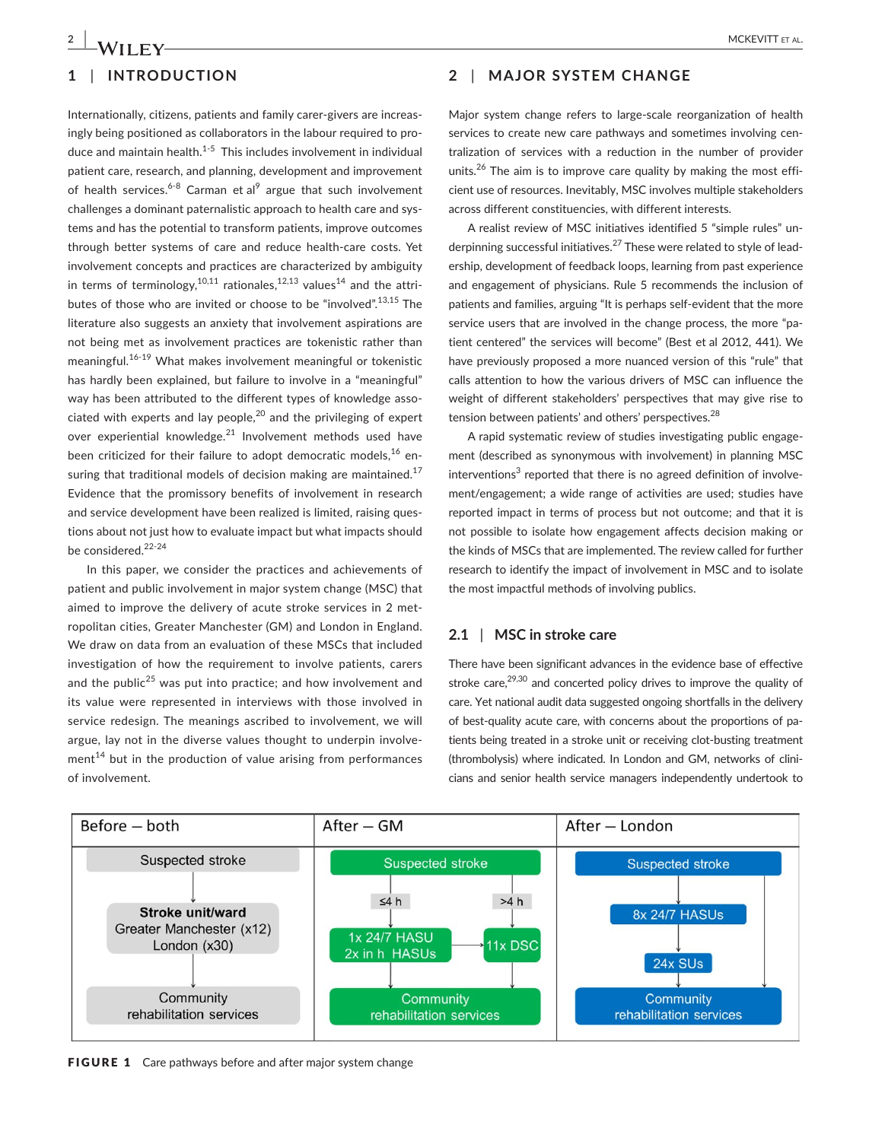# **1** | **INTRODUCTION**

Internationally, citizens, patients and family carer-givers are increasingly being positioned as collaborators in the labour required to produce and maintain health. $1-5$  This includes involvement in individual patient care, research, and planning, development and improvement of health services.<sup>6-8</sup> Carman et al<sup>9</sup> argue that such involvement challenges a dominant paternalistic approach to health care and systems and has the potential to transform patients, improve outcomes through better systems of care and reduce health-care costs. Yet involvement concepts and practices are characterized by ambiguity in terms of terminology,<sup>10,11</sup> rationales,<sup>12,13</sup> values<sup>14</sup> and the attributes of those who are invited or choose to be "involved".13,15 The literature also suggests an anxiety that involvement aspirations are not being met as involvement practices are tokenistic rather than meaningful.16-19 What makes involvement meaningful or tokenistic has hardly been explained, but failure to involve in a "meaningful" way has been attributed to the different types of knowledge associated with experts and lay people, $^{20}$  and the privileging of expert over experiential knowledge. $21$  Involvement methods used have been criticized for their failure to adopt democratic models,  $16$  ensuring that traditional models of decision making are maintained.<sup>17</sup> Evidence that the promissory benefits of involvement in research and service development have been realized is limited, raising questions about not just how to evaluate impact but what impacts should be considered.<sup>22-24</sup>

In this paper, we consider the practices and achievements of patient and public involvement in major system change (MSC) that aimed to improve the delivery of acute stroke services in 2 metropolitan cities, Greater Manchester (GM) and London in England. We draw on data from an evaluation of these MSCs that included investigation of how the requirement to involve patients, carers and the public<sup>25</sup> was put into practice; and how involvement and its value were represented in interviews with those involved in service redesign. The meanings ascribed to involvement, we will argue, lay not in the diverse values thought to underpin involve $ment<sup>14</sup>$  but in the production of value arising from performances of involvement.

## **2** | **MAJOR SYSTEM CHANGE**

Major system change refers to large-scale reorganization of health services to create new care pathways and sometimes involving centralization of services with a reduction in the number of provider units.<sup>26</sup> The aim is to improve care quality by making the most efficient use of resources. Inevitably, MSC involves multiple stakeholders across different constituencies, with different interests.

A realist review of MSC initiatives identified 5 "simple rules" underpinning successful initiatives.27 These were related to style of leadership, development of feedback loops, learning from past experience and engagement of physicians. Rule 5 recommends the inclusion of patients and families, arguing "It is perhaps self-evident that the more service users that are involved in the change process, the more "patient centered" the services will become" (Best et al 2012, 441). We have previously proposed a more nuanced version of this "rule" that calls attention to how the various drivers of MSC can influence the weight of different stakeholders' perspectives that may give rise to tension between patients' and others' perspectives.<sup>28</sup>

A rapid systematic review of studies investigating public engagement (described as synonymous with involvement) in planning MSC interventions<sup>3</sup> reported that there is no agreed definition of involvement/engagement; a wide range of activities are used; studies have reported impact in terms of process but not outcome; and that it is not possible to isolate how engagement affects decision making or the kinds of MSCs that are implemented. The review called for further research to identify the impact of involvement in MSC and to isolate the most impactful methods of involving publics.

## **2.1** | **MSC in stroke care**

There have been significant advances in the evidence base of effective stroke care, $29,30$  and concerted policy drives to improve the quality of care. Yet national audit data suggested ongoing shortfalls in the delivery of best-quality acute care, with concerns about the proportions of patients being treated in a stroke unit or receiving clot-busting treatment (thrombolysis) where indicated. In London and GM, networks of clinicians and senior health service managers independently undertook to



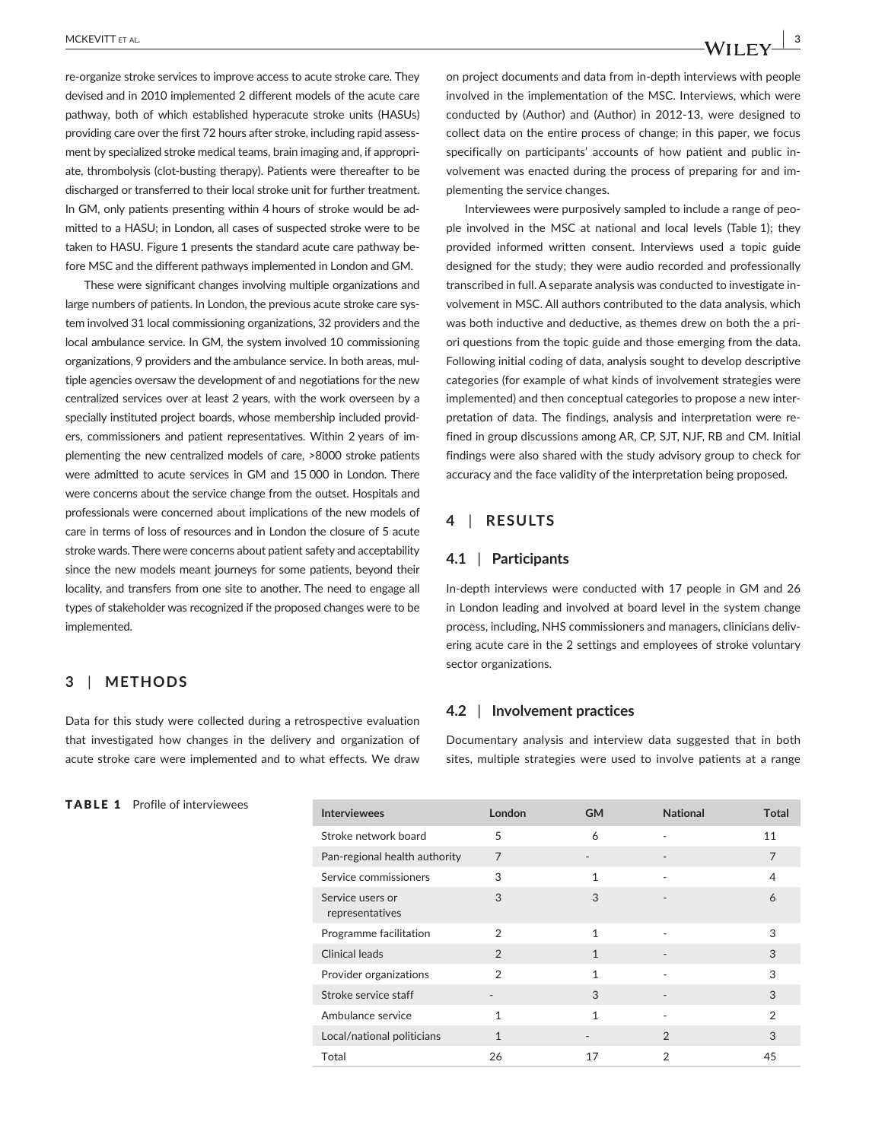re-organize stroke services to improve access to acute stroke care. They devised and in 2010 implemented 2 different models of the acute care pathway, both of which established hyperacute stroke units (HASUs) providing care over the first 72 hours after stroke, including rapid assessment by specialized stroke medical teams, brain imaging and, if appropriate, thrombolysis (clot-busting therapy). Patients were thereafter to be discharged or transferred to their local stroke unit for further treatment. In GM, only patients presenting within 4 hours of stroke would be admitted to a HASU; in London, all cases of suspected stroke were to be taken to HASU. Figure 1 presents the standard acute care pathway before MSC and the different pathways implemented in London and GM.

These were significant changes involving multiple organizations and large numbers of patients. In London, the previous acute stroke care system involved 31 local commissioning organizations, 32 providers and the local ambulance service. In GM, the system involved 10 commissioning organizations, 9 providers and the ambulance service. In both areas, multiple agencies oversaw the development of and negotiations for the new centralized services over at least 2 years, with the work overseen by a specially instituted project boards, whose membership included providers, commissioners and patient representatives. Within 2 years of implementing the new centralized models of care, >8000 stroke patients were admitted to acute services in GM and 15 000 in London. There were concerns about the service change from the outset. Hospitals and professionals were concerned about implications of the new models of care in terms of loss of resources and in London the closure of 5 acute stroke wards. There were concerns about patient safety and acceptability since the new models meant journeys for some patients, beyond their locality, and transfers from one site to another. The need to engage all types of stakeholder was recognized if the proposed changes were to be implemented.

## **3** | **METHODS**

Data for this study were collected during a retrospective evaluation that investigated how changes in the delivery and organization of acute stroke care were implemented and to what effects. We draw on project documents and data from in-depth interviews with people involved in the implementation of the MSC. Interviews, which were conducted by (Author) and (Author) in 2012-13, were designed to collect data on the entire process of change; in this paper, we focus specifically on participants' accounts of how patient and public involvement was enacted during the process of preparing for and implementing the service changes.

Interviewees were purposively sampled to include a range of people involved in the MSC at national and local levels (Table 1); they provided informed written consent. Interviews used a topic guide designed for the study; they were audio recorded and professionally transcribed in full. A separate analysis was conducted to investigate involvement in MSC. All authors contributed to the data analysis, which was both inductive and deductive, as themes drew on both the a priori questions from the topic guide and those emerging from the data. Following initial coding of data, analysis sought to develop descriptive categories (for example of what kinds of involvement strategies were implemented) and then conceptual categories to propose a new interpretation of data. The findings, analysis and interpretation were refined in group discussions among AR, CP, SJT, NJF, RB and CM. Initial findings were also shared with the study advisory group to check for accuracy and the face validity of the interpretation being proposed.

## **4** | **RESULTS**

#### **4.1** | **Participants**

In-depth interviews were conducted with 17 people in GM and 26 in London leading and involved at board level in the system change process, including, NHS commissioners and managers, clinicians delivering acute care in the 2 settings and employees of stroke voluntary sector organizations.

#### **4.2** | **Involvement practices**

Documentary analysis and interview data suggested that in both sites, multiple strategies were used to involve patients at a range

| <b>Interviewees</b>                 | London         | <b>GM</b>    | <b>National</b> | <b>Total</b>   |
|-------------------------------------|----------------|--------------|-----------------|----------------|
| Stroke network board                | 5              | 6            |                 | 11             |
| Pan-regional health authority       | $\overline{7}$ |              |                 | 7              |
| Service commissioners               | 3              | $\mathbf{1}$ |                 | 4              |
| Service users or<br>representatives | 3              | 3            |                 | 6              |
| Programme facilitation              | $\mathcal{P}$  | 1            |                 | 3              |
| Clinical leads                      | $\overline{2}$ | $\mathbf{1}$ |                 | 3              |
| Provider organizations              | $\overline{2}$ | $\mathbf{1}$ |                 | 3              |
| Stroke service staff                |                | 3            |                 | 3              |
| Ambulance service                   | 1              | 1            |                 | $\mathfrak{D}$ |
| Local/national politicians          | $\mathbf{1}$   |              | $\overline{2}$  | 3              |
| Total                               | 26             | 17           | $\overline{2}$  | 45             |

TABLE 1 Profile of interviewees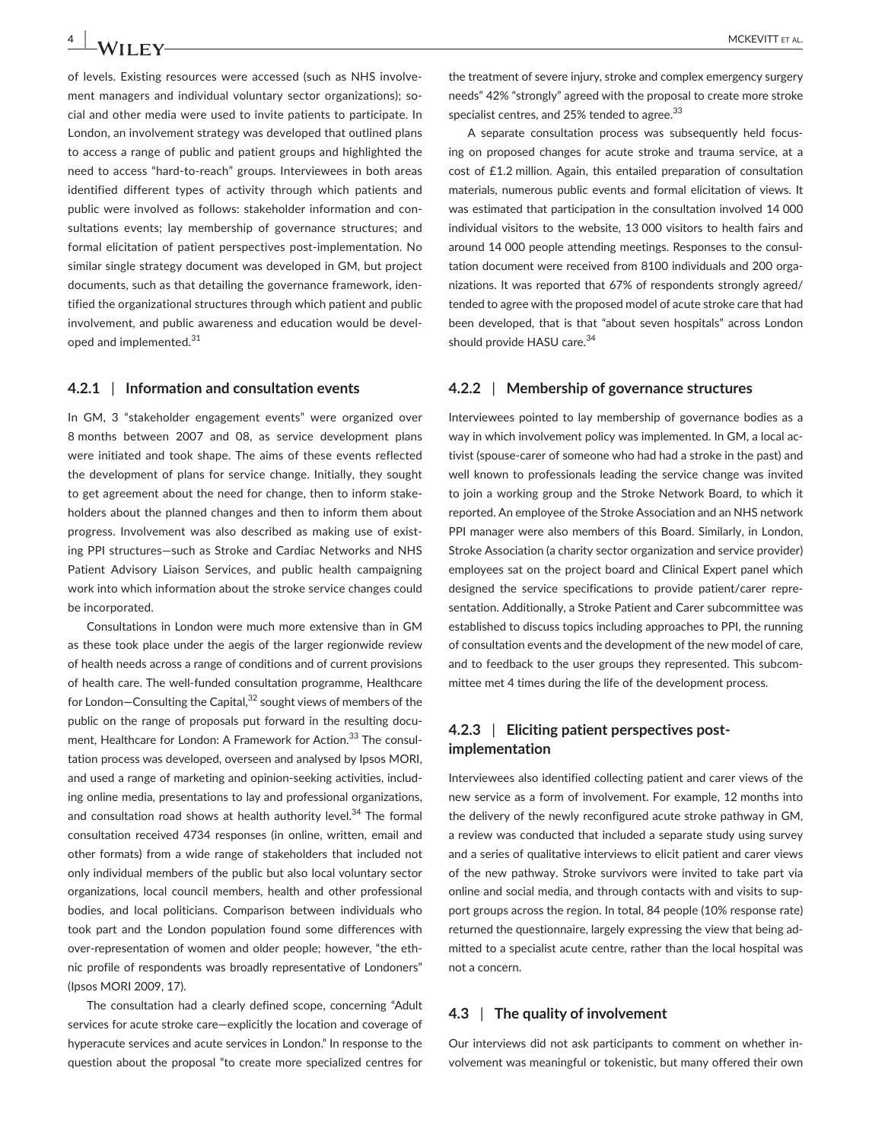of levels. Existing resources were accessed (such as NHS involvement managers and individual voluntary sector organizations); social and other media were used to invite patients to participate. In London, an involvement strategy was developed that outlined plans to access a range of public and patient groups and highlighted the need to access "hard-to-reach" groups. Interviewees in both areas identified different types of activity through which patients and public were involved as follows: stakeholder information and consultations events; lay membership of governance structures; and formal elicitation of patient perspectives post-implementation. No similar single strategy document was developed in GM, but project documents, such as that detailing the governance framework, identified the organizational structures through which patient and public involvement, and public awareness and education would be developed and implemented.<sup>31</sup>

## **4.2.1** | **Information and consultation events**

In GM, 3 "stakeholder engagement events" were organized over 8 months between 2007 and 08, as service development plans were initiated and took shape. The aims of these events reflected the development of plans for service change. Initially, they sought to get agreement about the need for change, then to inform stakeholders about the planned changes and then to inform them about progress. Involvement was also described as making use of existing PPI structures—such as Stroke and Cardiac Networks and NHS Patient Advisory Liaison Services, and public health campaigning work into which information about the stroke service changes could be incorporated.

Consultations in London were much more extensive than in GM as these took place under the aegis of the larger regionwide review of health needs across a range of conditions and of current provisions of health care. The well-funded consultation programme, Healthcare for London–Consulting the Capital, $32$  sought views of members of the public on the range of proposals put forward in the resulting document, Healthcare for London: A Framework for Action.<sup>33</sup> The consultation process was developed, overseen and analysed by Ipsos MORI, and used a range of marketing and opinion-seeking activities, including online media, presentations to lay and professional organizations, and consultation road shows at health authority level.<sup>34</sup> The formal consultation received 4734 responses (in online, written, email and other formats) from a wide range of stakeholders that included not only individual members of the public but also local voluntary sector organizations, local council members, health and other professional bodies, and local politicians. Comparison between individuals who took part and the London population found some differences with over-representation of women and older people; however, "the ethnic profile of respondents was broadly representative of Londoners" (Ipsos MORI 2009, 17).

The consultation had a clearly defined scope, concerning "Adult services for acute stroke care—explicitly the location and coverage of hyperacute services and acute services in London." In response to the question about the proposal "to create more specialized centres for

the treatment of severe injury, stroke and complex emergency surgery needs" 42% "strongly" agreed with the proposal to create more stroke specialist centres, and 25% tended to agree.<sup>33</sup>

A separate consultation process was subsequently held focusing on proposed changes for acute stroke and trauma service, at a cost of £1.2 million. Again, this entailed preparation of consultation materials, numerous public events and formal elicitation of views. It was estimated that participation in the consultation involved 14 000 individual visitors to the website, 13 000 visitors to health fairs and around 14 000 people attending meetings. Responses to the consultation document were received from 8100 individuals and 200 organizations. It was reported that 67% of respondents strongly agreed/ tended to agree with the proposed model of acute stroke care that had been developed, that is that "about seven hospitals" across London should provide HASU care.<sup>34</sup>

## **4.2.2** | **Membership of governance structures**

Interviewees pointed to lay membership of governance bodies as a way in which involvement policy was implemented. In GM, a local activist (spouse-carer of someone who had had a stroke in the past) and well known to professionals leading the service change was invited to join a working group and the Stroke Network Board, to which it reported. An employee of the Stroke Association and an NHS network PPI manager were also members of this Board. Similarly, in London, Stroke Association (a charity sector organization and service provider) employees sat on the project board and Clinical Expert panel which designed the service specifications to provide patient/carer representation. Additionally, a Stroke Patient and Carer subcommittee was established to discuss topics including approaches to PPI, the running of consultation events and the development of the new model of care, and to feedback to the user groups they represented. This subcommittee met 4 times during the life of the development process.

## **4.2.3** | **Eliciting patient perspectives postimplementation**

Interviewees also identified collecting patient and carer views of the new service as a form of involvement. For example, 12 months into the delivery of the newly reconfigured acute stroke pathway in GM, a review was conducted that included a separate study using survey and a series of qualitative interviews to elicit patient and carer views of the new pathway. Stroke survivors were invited to take part via online and social media, and through contacts with and visits to support groups across the region. In total, 84 people (10% response rate) returned the questionnaire, largely expressing the view that being admitted to a specialist acute centre, rather than the local hospital was not a concern.

### **4.3** | **The quality of involvement**

Our interviews did not ask participants to comment on whether involvement was meaningful or tokenistic, but many offered their own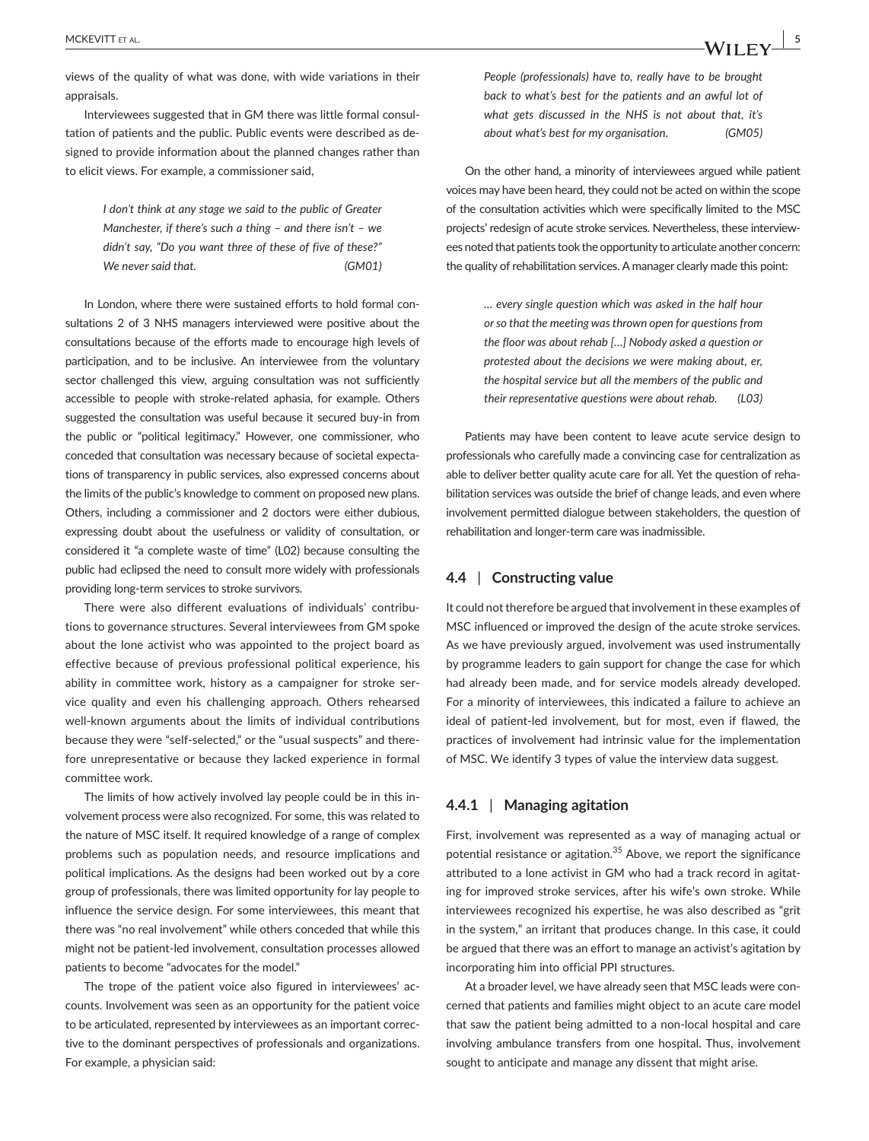views of the quality of what was done, with wide variations in their appraisals.

Interviewees suggested that in GM there was little formal consultation of patients and the public. Public events were described as designed to provide information about the planned changes rather than to elicit views. For example, a commissioner said,

> *I don't think at any stage we said to the public of Greater Manchester, if there's such a thing – and there isn't – we didn't say, "Do you want three of these of five of these?" We never said that. (GM01)*

In London, where there were sustained efforts to hold formal consultations 2 of 3 NHS managers interviewed were positive about the consultations because of the efforts made to encourage high levels of participation, and to be inclusive. An interviewee from the voluntary sector challenged this view, arguing consultation was not sufficiently accessible to people with stroke-related aphasia, for example. Others suggested the consultation was useful because it secured buy-in from the public or "political legitimacy." However, one commissioner, who conceded that consultation was necessary because of societal expectations of transparency in public services, also expressed concerns about the limits of the public's knowledge to comment on proposed new plans. Others, including a commissioner and 2 doctors were either dubious, expressing doubt about the usefulness or validity of consultation, or considered it "a complete waste of time" (L02) because consulting the public had eclipsed the need to consult more widely with professionals providing long-term services to stroke survivors.

There were also different evaluations of individuals' contributions to governance structures. Several interviewees from GM spoke about the lone activist who was appointed to the project board as effective because of previous professional political experience, his ability in committee work, history as a campaigner for stroke service quality and even his challenging approach. Others rehearsed well-known arguments about the limits of individual contributions because they were "self-selected," or the "usual suspects" and therefore unrepresentative or because they lacked experience in formal committee work.

The limits of how actively involved lay people could be in this involvement process were also recognized. For some, this was related to the nature of MSC itself. It required knowledge of a range of complex problems such as population needs, and resource implications and political implications. As the designs had been worked out by a core group of professionals, there was limited opportunity for lay people to influence the service design. For some interviewees, this meant that there was "no real involvement" while others conceded that while this might not be patient-led involvement, consultation processes allowed patients to become "advocates for the model."

The trope of the patient voice also figured in interviewees' accounts. Involvement was seen as an opportunity for the patient voice to be articulated, represented by interviewees as an important corrective to the dominant perspectives of professionals and organizations. For example, a physician said:

*People (professionals) have to, really have to be brought back to what's best for the patients and an awful lot of what gets discussed in the NHS is not about that, it's about what's best for my organisation. (GM05)*

On the other hand, a minority of interviewees argued while patient voices may have been heard, they could not be acted on within the scope of the consultation activities which were specifically limited to the MSC projects' redesign of acute stroke services. Nevertheless, these interviewees noted that patients took the opportunity to articulate another concern: the quality of rehabilitation services. A manager clearly made this point:

> *… every single question which was asked in the half hour or so that the meeting was thrown open for questions from the floor was about rehab […] Nobody asked a question or protested about the decisions we were making about, er, the hospital service but all the members of the public and their representative questions were about rehab. (L03)*

Patients may have been content to leave acute service design to professionals who carefully made a convincing case for centralization as able to deliver better quality acute care for all. Yet the question of rehabilitation services was outside the brief of change leads, and even where involvement permitted dialogue between stakeholders, the question of rehabilitation and longer-term care was inadmissible.

## **4.4** | **Constructing value**

It could not therefore be argued that involvement in these examples of MSC influenced or improved the design of the acute stroke services. As we have previously argued, involvement was used instrumentally by programme leaders to gain support for change the case for which had already been made, and for service models already developed. For a minority of interviewees, this indicated a failure to achieve an ideal of patient-led involvement, but for most, even if flawed, the practices of involvement had intrinsic value for the implementation of MSC. We identify 3 types of value the interview data suggest.

#### **4.4.1** | **Managing agitation**

First, involvement was represented as a way of managing actual or potential resistance or agitation.<sup>35</sup> Above, we report the significance attributed to a lone activist in GM who had a track record in agitating for improved stroke services, after his wife's own stroke. While interviewees recognized his expertise, he was also described as "grit in the system," an irritant that produces change. In this case, it could be argued that there was an effort to manage an activist's agitation by incorporating him into official PPI structures.

At a broader level, we have already seen that MSC leads were concerned that patients and families might object to an acute care model that saw the patient being admitted to a non-local hospital and care involving ambulance transfers from one hospital. Thus, involvement sought to anticipate and manage any dissent that might arise.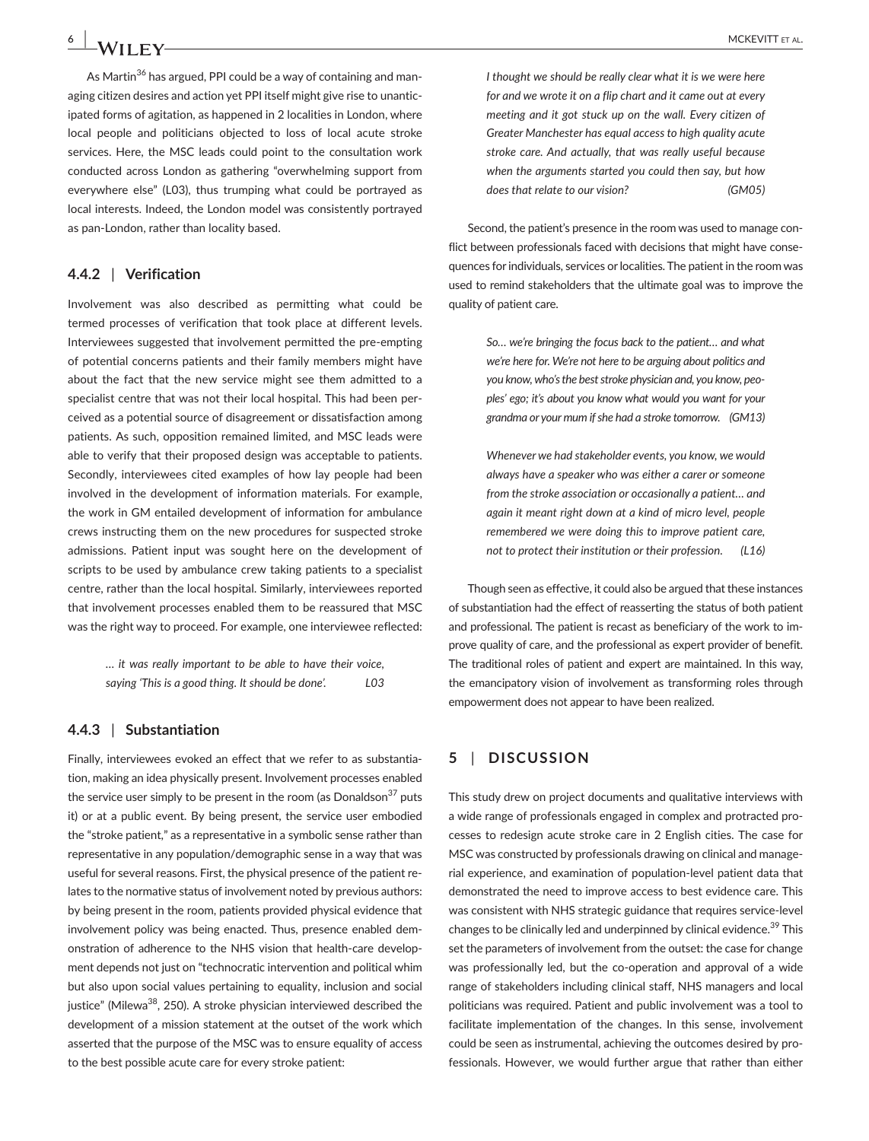As Martin<sup>36</sup> has argued. PPI could be a way of containing and managing citizen desires and action yet PPI itself might give rise to unanticipated forms of agitation, as happened in 2 localities in London, where local people and politicians objected to loss of local acute stroke services. Here, the MSC leads could point to the consultation work conducted across London as gathering "overwhelming support from everywhere else" (L03), thus trumping what could be portrayed as local interests. Indeed, the London model was consistently portrayed as pan-London, rather than locality based.

### **4.4.2** | **Verification**

Involvement was also described as permitting what could be termed processes of verification that took place at different levels. Interviewees suggested that involvement permitted the pre-empting of potential concerns patients and their family members might have about the fact that the new service might see them admitted to a specialist centre that was not their local hospital. This had been perceived as a potential source of disagreement or dissatisfaction among patients. As such, opposition remained limited, and MSC leads were able to verify that their proposed design was acceptable to patients. Secondly, interviewees cited examples of how lay people had been involved in the development of information materials. For example, the work in GM entailed development of information for ambulance crews instructing them on the new procedures for suspected stroke admissions. Patient input was sought here on the development of scripts to be used by ambulance crew taking patients to a specialist centre, rather than the local hospital. Similarly, interviewees reported that involvement processes enabled them to be reassured that MSC was the right way to proceed. For example, one interviewee reflected:

> *… it was really important to be able to have their voice, saying 'This is a good thing. It should be done'. L03*

#### **4.4.3** | **Substantiation**

Finally, interviewees evoked an effect that we refer to as substantiation, making an idea physically present. Involvement processes enabled the service user simply to be present in the room (as Donaldson $37$  puts it) or at a public event. By being present, the service user embodied the "stroke patient," as a representative in a symbolic sense rather than representative in any population/demographic sense in a way that was useful for several reasons. First, the physical presence of the patient relates to the normative status of involvement noted by previous authors: by being present in the room, patients provided physical evidence that involvement policy was being enacted. Thus, presence enabled demonstration of adherence to the NHS vision that health-care development depends not just on "technocratic intervention and political whim but also upon social values pertaining to equality, inclusion and social justice" (Milewa<sup>38</sup>, 250). A stroke physician interviewed described the development of a mission statement at the outset of the work which asserted that the purpose of the MSC was to ensure equality of access to the best possible acute care for every stroke patient:

*I thought we should be really clear what it is we were here for and we wrote it on a flip chart and it came out at every meeting and it got stuck up on the wall. Every citizen of Greater Manchester has equal access to high quality acute stroke care. And actually, that was really useful because when the arguments started you could then say, but how does that relate to our vision? (GM05)*

Second, the patient's presence in the room was used to manage conflict between professionals faced with decisions that might have consequences for individuals, services or localities. The patient in the room was used to remind stakeholders that the ultimate goal was to improve the quality of patient care.

*So… we're bringing the focus back to the patient… and what we're here for. We're not here to be arguing about politics and you know, who's the best stroke physician and, you know, peoples' ego; it's about you know what would you want for your grandma or your mum if she had a stroke tomorrow. (GM13)*

*Whenever we had stakeholder events, you know, we would always have a speaker who was either a carer or someone from the stroke association or occasionally a patient… and again it meant right down at a kind of micro level, people remembered we were doing this to improve patient care, not to protect their institution or their profession. (L16)*

Though seen as effective, it could also be argued that these instances of substantiation had the effect of reasserting the status of both patient and professional. The patient is recast as beneficiary of the work to improve quality of care, and the professional as expert provider of benefit. The traditional roles of patient and expert are maintained. In this way, the emancipatory vision of involvement as transforming roles through empowerment does not appear to have been realized.

## **5** | **DISCUSSION**

This study drew on project documents and qualitative interviews with a wide range of professionals engaged in complex and protracted processes to redesign acute stroke care in 2 English cities. The case for MSC was constructed by professionals drawing on clinical and managerial experience, and examination of population-level patient data that demonstrated the need to improve access to best evidence care. This was consistent with NHS strategic guidance that requires service-level changes to be clinically led and underpinned by clinical evidence.<sup>39</sup> This set the parameters of involvement from the outset: the case for change was professionally led, but the co-operation and approval of a wide range of stakeholders including clinical staff, NHS managers and local politicians was required. Patient and public involvement was a tool to facilitate implementation of the changes. In this sense, involvement could be seen as instrumental, achieving the outcomes desired by professionals. However, we would further argue that rather than either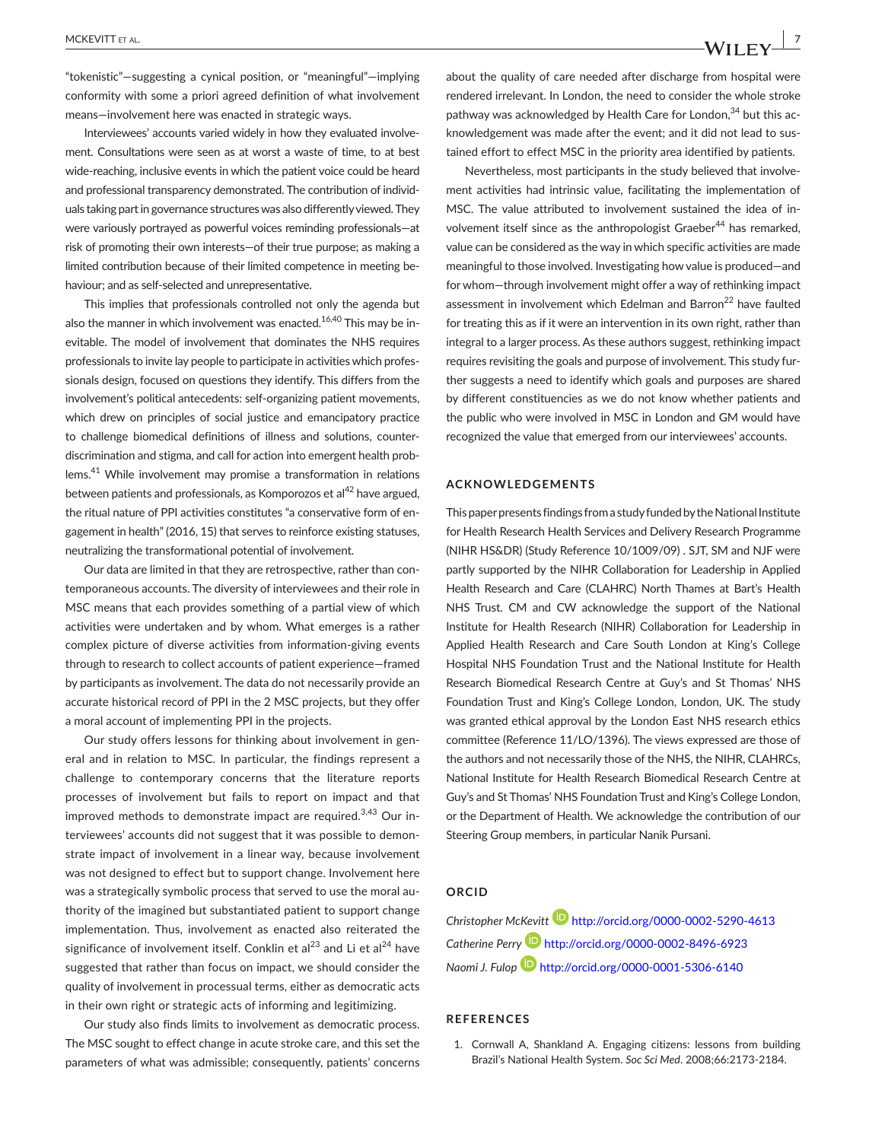"tokenistic"—suggesting a cynical position, or "meaningful"—implying conformity with some a priori agreed definition of what involvement means—involvement here was enacted in strategic ways.

Interviewees' accounts varied widely in how they evaluated involvement. Consultations were seen as at worst a waste of time, to at best wide-reaching, inclusive events in which the patient voice could be heard and professional transparency demonstrated. The contribution of individuals taking part in governance structures was also differently viewed. They were variously portrayed as powerful voices reminding professionals—at risk of promoting their own interests—of their true purpose; as making a limited contribution because of their limited competence in meeting behaviour; and as self-selected and unrepresentative.

This implies that professionals controlled not only the agenda but also the manner in which involvement was enacted. $16,40$  This may be inevitable. The model of involvement that dominates the NHS requires professionals to invite lay people to participate in activities which professionals design, focused on questions they identify. This differs from the involvement's political antecedents: self-organizing patient movements, which drew on principles of social justice and emancipatory practice to challenge biomedical definitions of illness and solutions, counterdiscrimination and stigma, and call for action into emergent health problems.<sup>41</sup> While involvement may promise a transformation in relations between patients and professionals, as Komporozos et al<sup>42</sup> have argued, the ritual nature of PPI activities constitutes "a conservative form of engagement in health" (2016, 15) that serves to reinforce existing statuses, neutralizing the transformational potential of involvement.

Our data are limited in that they are retrospective, rather than contemporaneous accounts. The diversity of interviewees and their role in MSC means that each provides something of a partial view of which activities were undertaken and by whom. What emerges is a rather complex picture of diverse activities from information-giving events through to research to collect accounts of patient experience—framed by participants as involvement. The data do not necessarily provide an accurate historical record of PPI in the 2 MSC projects, but they offer a moral account of implementing PPI in the projects.

Our study offers lessons for thinking about involvement in general and in relation to MSC. In particular, the findings represent a challenge to contemporary concerns that the literature reports processes of involvement but fails to report on impact and that improved methods to demonstrate impact are required.<sup>3,43</sup> Our interviewees' accounts did not suggest that it was possible to demonstrate impact of involvement in a linear way, because involvement was not designed to effect but to support change. Involvement here was a strategically symbolic process that served to use the moral authority of the imagined but substantiated patient to support change implementation. Thus, involvement as enacted also reiterated the significance of involvement itself. Conklin et al<sup>23</sup> and Li et al<sup>24</sup> have suggested that rather than focus on impact, we should consider the quality of involvement in processual terms, either as democratic acts in their own right or strategic acts of informing and legitimizing.

Our study also finds limits to involvement as democratic process. The MSC sought to effect change in acute stroke care, and this set the parameters of what was admissible; consequently, patients' concerns about the quality of care needed after discharge from hospital were rendered irrelevant. In London, the need to consider the whole stroke pathway was acknowledged by Health Care for London,<sup>34</sup> but this acknowledgement was made after the event; and it did not lead to sustained effort to effect MSC in the priority area identified by patients.

Nevertheless, most participants in the study believed that involvement activities had intrinsic value, facilitating the implementation of MSC. The value attributed to involvement sustained the idea of involvement itself since as the anthropologist Graeber<sup>44</sup> has remarked, value can be considered as the way in which specific activities are made meaningful to those involved. Investigating how value is produced—and for whom—through involvement might offer a way of rethinking impact assessment in involvement which Edelman and Barron<sup>22</sup> have faulted for treating this as if it were an intervention in its own right, rather than integral to a larger process. As these authors suggest, rethinking impact requires revisiting the goals and purpose of involvement. This study further suggests a need to identify which goals and purposes are shared by different constituencies as we do not know whether patients and the public who were involved in MSC in London and GM would have recognized the value that emerged from our interviewees' accounts.

## **ACKNOWLEDGEMENTS**

This paper presents findings from a study funded by the National Institute for Health Research Health Services and Delivery Research Programme (NIHR HS&DR) (Study Reference 10/1009/09) . SJT, SM and NJF were partly supported by the NIHR Collaboration for Leadership in Applied Health Research and Care (CLAHRC) North Thames at Bart's Health NHS Trust. CM and CW acknowledge the support of the National Institute for Health Research (NIHR) Collaboration for Leadership in Applied Health Research and Care South London at King's College Hospital NHS Foundation Trust and the National Institute for Health Research Biomedical Research Centre at Guy's and St Thomas' NHS Foundation Trust and King's College London, London, UK. The study was granted ethical approval by the London East NHS research ethics committee (Reference 11/LO/1396). The views expressed are those of the authors and not necessarily those of the NHS, the NIHR, CLAHRCs, National Institute for Health Research Biomedical Research Centre at Guy's and St Thomas' NHS Foundation Trust and King's College London, or the Department of Health. We acknowledge the contribution of our Steering Group members, in particular Nanik Pursani.

#### **ORCID**

*Christopher McKevitt* <http://orcid.org/0000-0002-5290-4613> *Catherine Perry* <http://orcid.org/0000-0002-8496-6923> *Naomi J. Fulop* <http://orcid.org/0000-0001-5306-6140>

#### **REFERENCES**

1. Cornwall A, Shankland A. Engaging citizens: lessons from building Brazil's National Health System. *Soc Sci Med*. 2008;66:2173-2184.